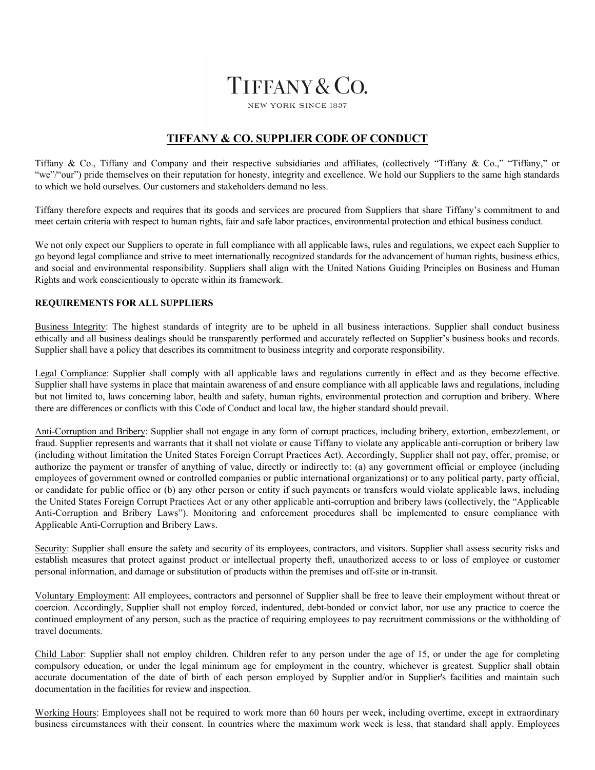# TIFFANY & CO.

**NEW YORK SINCE 1837** 

## **TIFFANY & CO. SUPPLIER CODE OF CONDUCT**

Tiffany & Co., Tiffany and Company and their respective subsidiaries and affiliates, (collectively "Tiffany & Co.," "Tiffany," or "we"/"our") pride themselves on their reputation for honesty, integrity and excellence. We hold our Suppliers to the same high standards to which we hold ourselves. Our customers and stakeholders demand no less.

Tiffany therefore expects and requires that its goods and services are procured from Suppliers that share Tiffany's commitment to and meet certain criteria with respect to human rights, fair and safe labor practices, environmental protection and ethical business conduct.

We not only expect our Suppliers to operate in full compliance with all applicable laws, rules and regulations, we expect each Supplier to go beyond legal compliance and strive to meet internationally recognized standards for the advancement of human rights, business ethics, and social and environmental responsibility. Suppliers shall align with the United Nations Guiding Principles on Business and Human Rights and work conscientiously to operate within its framework.

#### **REQUIREMENTS FOR ALL SUPPLIERS**

Business Integrity: The highest standards of integrity are to be upheld in all business interactions. Supplier shall conduct business ethically and all business dealings should be transparently performed and accurately reflected on Supplier's business books and records. Supplier shall have a policy that describes its commitment to business integrity and corporate responsibility.

Legal Compliance: Supplier shall comply with all applicable laws and regulations currently in effect and as they become effective. Supplier shall have systems in place that maintain awareness of and ensure compliance with all applicable laws and regulations, including but not limited to, laws concerning labor, health and safety, human rights, environmental protection and corruption and bribery. Where there are differences or conflicts with this Code of Conduct and local law, the higher standard should prevail.

Anti-Corruption and Bribery: Supplier shall not engage in any form of corrupt practices, including bribery, extortion, embezzlement, or fraud. Supplier represents and warrants that it shall not violate or cause Tiffany to violate any applicable anti-corruption or bribery law (including without limitation the United States Foreign Corrupt Practices Act). Accordingly, Supplier shall not pay, offer, promise, or authorize the payment or transfer of anything of value, directly or indirectly to: (a) any government official or employee (including employees of government owned or controlled companies or public international organizations) or to any political party, party official, or candidate for public office or (b) any other person or entity if such payments or transfers would violate applicable laws, including the United States Foreign Corrupt Practices Act or any other applicable anti-corruption and bribery laws (collectively, the "Applicable Anti-Corruption and Bribery Laws"). Monitoring and enforcement procedures shall be implemented to ensure compliance with Applicable Anti-Corruption and Bribery Laws.

Security: Supplier shall ensure the safety and security of its employees, contractors, and visitors. Supplier shall assess security risks and establish measures that protect against product or intellectual property theft, unauthorized access to or loss of employee or customer personal information, and damage or substitution of products within the premises and off-site or in-transit.

Voluntary Employment: All employees, contractors and personnel of Supplier shall be free to leave their employment without threat or coercion. Accordingly, Supplier shall not employ forced, indentured, debt-bonded or convict labor, nor use any practice to coerce the continued employment of any person, such as the practice of requiring employees to pay recruitment commissions or the withholding of travel documents.

Child Labor: Supplier shall not employ children. Children refer to any person under the age of 15, or under the age for completing compulsory education, or under the legal minimum age for employment in the country, whichever is greatest. Supplier shall obtain accurate documentation of the date of birth of each person employed by Supplier and/or in Supplier's facilities and maintain such documentation in the facilities for review and inspection.

Working Hours: Employees shall not be required to work more than 60 hours per week, including overtime, except in extraordinary business circumstances with their consent. In countries where the maximum work week is less, that standard shall apply. Employees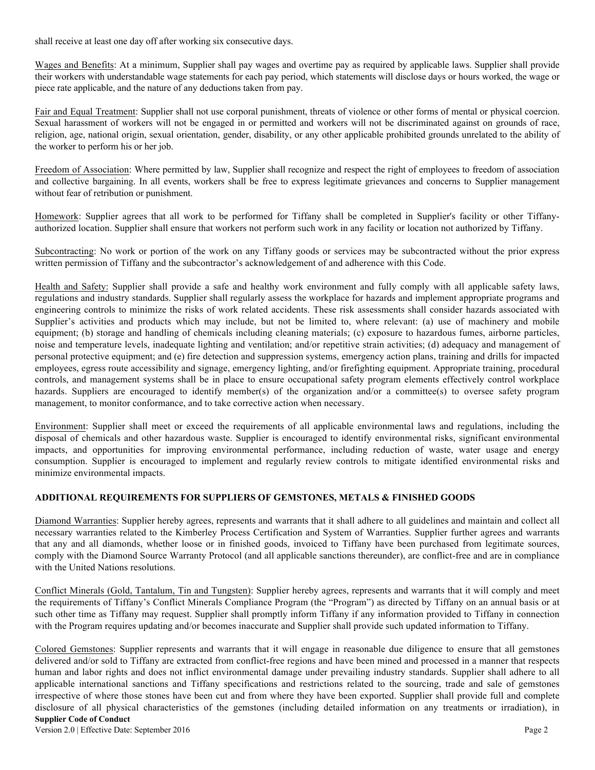shall receive at least one day off after working six consecutive days.

Wages and Benefits: At a minimum, Supplier shall pay wages and overtime pay as required by applicable laws. Supplier shall provide their workers with understandable wage statements for each pay period, which statements will disclose days or hours worked, the wage or piece rate applicable, and the nature of any deductions taken from pay.

Fair and Equal Treatment: Supplier shall not use corporal punishment, threats of violence or other forms of mental or physical coercion. Sexual harassment of workers will not be engaged in or permitted and workers will not be discriminated against on grounds of race, religion, age, national origin, sexual orientation, gender, disability, or any other applicable prohibited grounds unrelated to the ability of the worker to perform his or her job.

Freedom of Association: Where permitted by law, Supplier shall recognize and respect the right of employees to freedom of association and collective bargaining. In all events, workers shall be free to express legitimate grievances and concerns to Supplier management without fear of retribution or punishment.

Homework: Supplier agrees that all work to be performed for Tiffany shall be completed in Supplier's facility or other Tiffanyauthorized location. Supplier shall ensure that workers not perform such work in any facility or location not authorized by Tiffany.

Subcontracting: No work or portion of the work on any Tiffany goods or services may be subcontracted without the prior express written permission of Tiffany and the subcontractor's acknowledgement of and adherence with this Code.

Health and Safety: Supplier shall provide a safe and healthy work environment and fully comply with all applicable safety laws, regulations and industry standards. Supplier shall regularly assess the workplace for hazards and implement appropriate programs and engineering controls to minimize the risks of work related accidents. These risk assessments shall consider hazards associated with Supplier's activities and products which may include, but not be limited to, where relevant: (a) use of machinery and mobile equipment; (b) storage and handling of chemicals including cleaning materials; (c) exposure to hazardous fumes, airborne particles, noise and temperature levels, inadequate lighting and ventilation; and/or repetitive strain activities; (d) adequacy and management of personal protective equipment; and (e) fire detection and suppression systems, emergency action plans, training and drills for impacted employees, egress route accessibility and signage, emergency lighting, and/or firefighting equipment. Appropriate training, procedural controls, and management systems shall be in place to ensure occupational safety program elements effectively control workplace hazards. Suppliers are encouraged to identify member(s) of the organization and/or a committee(s) to oversee safety program management, to monitor conformance, and to take corrective action when necessary.

Environment: Supplier shall meet or exceed the requirements of all applicable environmental laws and regulations, including the disposal of chemicals and other hazardous waste. Supplier is encouraged to identify environmental risks, significant environmental impacts, and opportunities for improving environmental performance, including reduction of waste, water usage and energy consumption. Supplier is encouraged to implement and regularly review controls to mitigate identified environmental risks and minimize environmental impacts.

### **ADDITIONAL REQUIREMENTS FOR SUPPLIERS OF GEMSTONES, METALS & FINISHED GOODS**

Diamond Warranties: Supplier hereby agrees, represents and warrants that it shall adhere to all guidelines and maintain and collect all necessary warranties related to the Kimberley Process Certification and System of Warranties. Supplier further agrees and warrants that any and all diamonds, whether loose or in finished goods, invoiced to Tiffany have been purchased from legitimate sources, comply with the Diamond Source Warranty Protocol (and all applicable sanctions thereunder), are conflict-free and are in compliance with the United Nations resolutions.

Conflict Minerals (Gold, Tantalum, Tin and Tungsten): Supplier hereby agrees, represents and warrants that it will comply and meet the requirements of Tiffany's Conflict Minerals Compliance Program (the "Program") as directed by Tiffany on an annual basis or at such other time as Tiffany may request. Supplier shall promptly inform Tiffany if any information provided to Tiffany in connection with the Program requires updating and/or becomes inaccurate and Supplier shall provide such updated information to Tiffany.

**Supplier Code of Conduct** Colored Gemstones: Supplier represents and warrants that it will engage in reasonable due diligence to ensure that all gemstones delivered and/or sold to Tiffany are extracted from conflict-free regions and have been mined and processed in a manner that respects human and labor rights and does not inflict environmental damage under prevailing industry standards. Supplier shall adhere to all applicable international sanctions and Tiffany specifications and restrictions related to the sourcing, trade and sale of gemstones irrespective of where those stones have been cut and from where they have been exported. Supplier shall provide full and complete disclosure of all physical characteristics of the gemstones (including detailed information on any treatments or irradiation), in

Version 2.0 | Effective Date: September 2016 Page 2